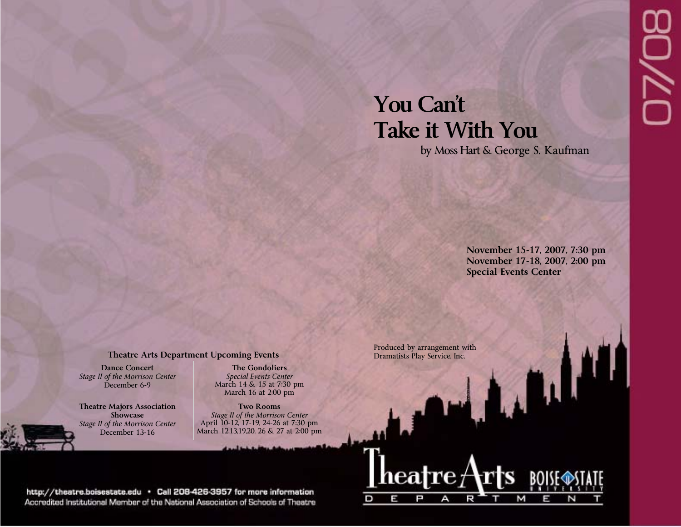# **You Can't Take it With You**

by Moss Hart & George S. Kaufman

**November 15-17, 2007, 7:30 pm November 17-18, 2007, 2:00 pm Special Events Center** 

м

#### **Theatre Arts Department Upcoming Events**

**Dance Concert**  *Stage II of the Morrison Center*  December 6-9

**Theatre Majors Association Showcase**  *Stage II of the Morrison Center*  December 13-16

**The Gondoliers**  *Special Events Center*  March 14 & 15 at 7:30 pm March 16 at 2:00 pm

**Two Rooms**  *Stage II of the Morrison Center*  April 10-12, 17-19, 24-26 at 7:30 pm March 12,13,19,20, 26 & 27 at 2:00 pm Produced by arrangement with Dramatists Play Service, Inc.

 $heatre<sub>t</sub>$ 

http://theatre.boisestate.edu · Call 208-426-3957 for more information Accredited Institutional Member of the National Association of Schools of Theatre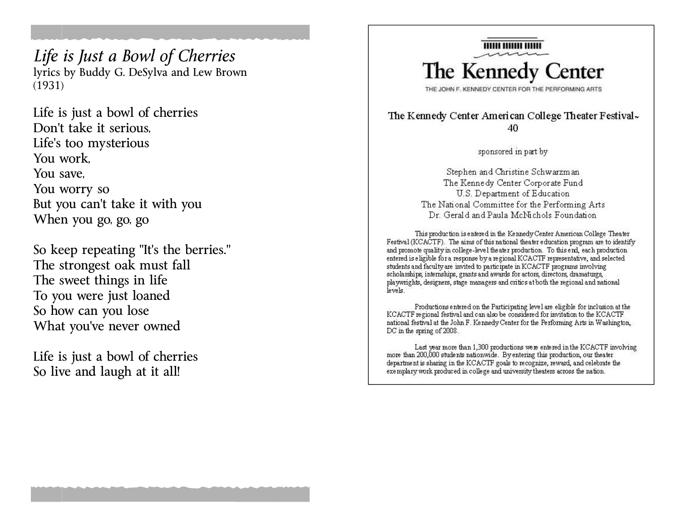*Life is Just a Bowl of Cherries*  lyrics by Buddy G. DeSylva and Lew Brown (1931)

Life is just a bowl of cherries Don't take it serious, Life's too mysterious You work, You save, You worry so But you can't take it with you When you go, go, go

So keep repeating "It's the berries." The strongest oak must fall The sweet things in life To you were just loaned So how can you lose What you've never owned

Life is just a bowl of cherries So live and laugh at it all!

## ,,,,,,,,,,,,,,,,,,,,, The Kennedy enter THE JOHN F. KENNEDY CENTER FOR THE PERFORMING ARTS

The Kennedy Center American College Theater Festival-40

sponsored in part by

Stephen and Christine Schwarzman The Kennedy Center Corporate Fund U.S. Department of Education The National Committee for the Performing Arts Dr. Gerald and Paula McNichols Foundation

This production is entered in the Kennedy Center American College Theater Festival (KCACTF). The aims of this national theater education program are to identify and promote quality in college-level the ater production. To this end, each production entered is eligible for a response by a regional KCACTF representative, and selected students and faculty are invited to participate in KCACTF programs involving scholarships, internships, grants and awards for actors, directors, dramaturgs, playwrights, designers, stage managers and critics at both the regional and national levels.

Productions entered on the Participating level are eligible for inclusion at the KCACTF regional festival and can also be considered for invitation to the KCACTF national festival at the John F. Kennedy Center for the Performing Arts in Washington, DC in the spring of 2008.

Last year more than 1,300 productions were entered in the KCACTF involving more than 200,000 students nationwide. By entering this production, our theater department is sharing in the KCACTF goals to recognize, reward, and celebrate the exemplary work produced in college and university theaters across the nation.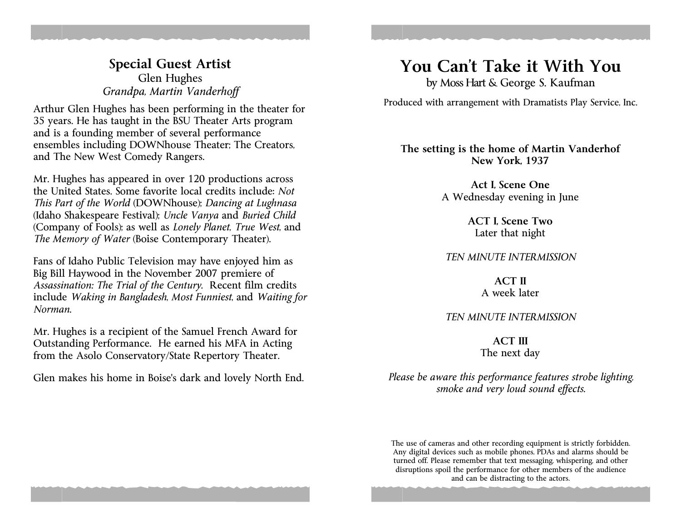## **Special Guest Artist**  Glen Hughes *Grandpa, Martin Vanderhoff*

Arthur Glen Hughes has been performing in the theater for 35 years. He has taught in the BSU Theater Arts program and is a founding member of several performance ensembles including DOWNhouse Theater; The Creators, and The New West Comedy Rangers.

Mr. Hughes has appeared in over 120 productions across the United States. Some favorite local credits include: *Not This Part of the World* (DOWNhouse); *Dancing at Lughnasa* (Idaho Shakespeare Festival); *Uncle Vanya* and *Buried Child* (Company of Fools); as well as *Lonely Planet*, *True West*, and *The Memory of Water* (Boise Contemporary Theater).

Fans of Idaho Public Television may have enjoyed him as Big Bill Haywood in the November 2007 premiere of *Assassination: The Trial of the Century*. Recent film credits include *Waking in Bangladesh*, *Most Funniest*, and *Waiting for Norman*.

Mr. Hughes is a recipient of the Samuel French Award for Outstanding Performance. He earned his MFA in Acting from the Asolo Conservatory/State Repertory Theater.

Glen makes his home in Boise's dark and lovely North End.

# **You Can't Take it With You**

by Moss Hart & George S. Kaufman

Produced with arrangement with Dramatists Play Service, Inc.

**The setting is the home of Martin Vanderhof New York, 1937** 

> **Act I, Scene One**  A Wednesday evening in June

> > **ACT I, Scene Two**  Later that night

*TEN MINUTE INTERMISSION* 

**ACT II** A week later

#### *TEN MINUTE INTERMISSION*

**ACT III** The next day

*Please be aware this performance features strobe lighting, smoke and very loud sound effects.* 

The use of cameras and other recording equipment is strictly forbidden. Any digital devices such as mobile phones, PDAs and alarms should be turned off. Please remember that text messaging, whispering, and other disruptions spoil the performance for other members of the audience and can be distracting to the actors.